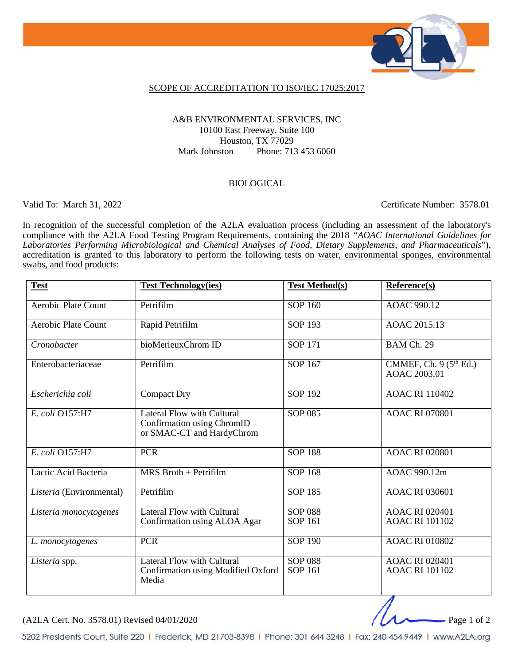

### SCOPE OF ACCREDITATION TO ISO/IEC 17025:2017

### A&B ENVIRONMENTAL SERVICES, INC 10100 East Freeway, Suite 100 Houston, TX 77029 Mark Johnston Phone: 713 453 6060

#### BIOLOGICAL

Valid To: March 31, 2022 Certificate Number: 3578.01

In recognition of the successful completion of the A2LA evaluation process (including an assessment of the laboratory's compliance with the A2LA Food Testing Program Requirements, containing the 2018 *"AOAC International Guidelines for Laboratories Performing Microbiological and Chemical Analyses of Food, Dietary Supplements, and Pharmaceuticals*"), accreditation is granted to this laboratory to perform the following tests on water, environmental sponges, environmental swabs, and food products:

| <b>Test</b>                | <b>Test Technology(ies)</b>                                                                  | <b>Test Method(s)</b>            | Reference(s)                                   |
|----------------------------|----------------------------------------------------------------------------------------------|----------------------------------|------------------------------------------------|
| <b>Aerobic Plate Count</b> | Petrifilm                                                                                    | $SOP$ 160                        | <b>AOAC 990.12</b>                             |
| Aerobic Plate Count        | Rapid Petrifilm                                                                              | <b>SOP 193</b>                   | AOAC 2015.13                                   |
| Cronobacter                | bioMerieuxChrom ID                                                                           | <b>SOP 171</b>                   | BAM Ch. 29                                     |
| Enterobacteriaceae         | Petrifilm                                                                                    | <b>SOP 167</b>                   | CMMEF, Ch. $9(5th Ed.)$<br>AOAC 2003.01        |
| Escherichia coli           | <b>Compact Dry</b>                                                                           | <b>SOP 192</b>                   | <b>AOAC RI 110402</b>                          |
| E. coli 0157:H7            | <b>Lateral Flow with Cultural</b><br>Confirmation using ChromID<br>or SMAC-CT and HardyChrom | <b>SOP 085</b>                   | <b>AOAC RI 070801</b>                          |
| E. coli O157:H7            | <b>PCR</b>                                                                                   | <b>SOP 188</b>                   | <b>AOAC RI 020801</b>                          |
| Lactic Acid Bacteria       | $MRS$ Broth + Petrifilm                                                                      | <b>SOP 168</b>                   | AOAC 990.12m                                   |
| Listeria (Environmental)   | Petrifilm                                                                                    | <b>SOP 185</b>                   | <b>AOAC RI 030601</b>                          |
| Listeria monocytogenes     | <b>Lateral Flow with Cultural</b><br>Confirmation using ALOA Agar                            | <b>SOP 088</b><br><b>SOP 161</b> | <b>AOAC RI 020401</b><br><b>AOAC RI 101102</b> |
| L. monocytogenes           | <b>PCR</b>                                                                                   | <b>SOP 190</b>                   | <b>AOAC RI 010802</b>                          |
| Listeria spp.              | <b>Lateral Flow with Cultural</b><br>Confirmation using Modified Oxford<br>Media             | <b>SOP 088</b><br><b>SOP 161</b> | <b>AOAC RI 020401</b><br><b>AOAC RI 101102</b> |

 $(A2LA$  Cert. No. 3578.01) Revised 04/01/2020

5202 Presidents Court, Suite 220 | Frederick, MD 21703-8398 | Phone: 301 644 3248 | Fax: 240 454 9449 | www.A2LA.org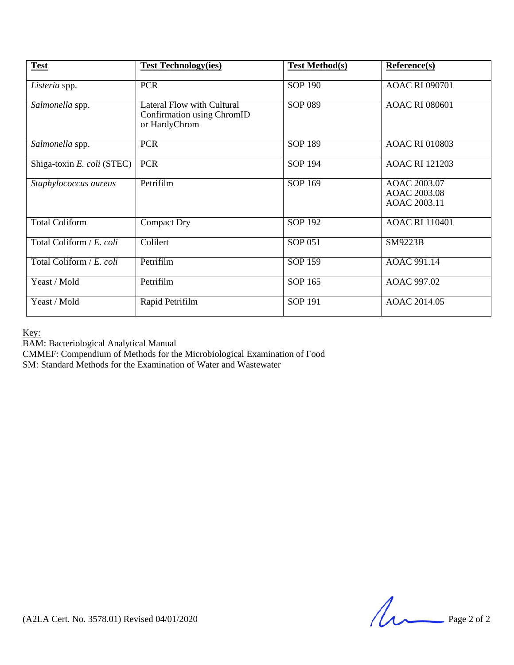| <b>Test</b>                | <b>Test Technology(ies)</b>                                               | <b>Test Method(s)</b> | Reference(s)                                 |
|----------------------------|---------------------------------------------------------------------------|-----------------------|----------------------------------------------|
| Listeria spp.              | <b>PCR</b>                                                                | <b>SOP 190</b>        | <b>AOAC RI 090701</b>                        |
| Salmonella spp.            | Lateral Flow with Cultural<br>Confirmation using ChromID<br>or HardyChrom | SOP 089               | <b>AOAC RI 080601</b>                        |
| Salmonella spp.            | <b>PCR</b>                                                                | <b>SOP 189</b>        | <b>AOAC RI 010803</b>                        |
| Shiga-toxin E. coli (STEC) | <b>PCR</b>                                                                | SOP 194               | <b>AOAC RI 121203</b>                        |
| Staphylococcus aureus      | Petrifilm                                                                 | SOP 169               | AOAC 2003.07<br>AOAC 2003.08<br>AOAC 2003.11 |
| <b>Total Coliform</b>      | <b>Compact Dry</b>                                                        | <b>SOP 192</b>        | <b>AOAC RI 110401</b>                        |
| Total Coliform / E. coli   | Colilert                                                                  | SOP 051               | SM9223B                                      |
| Total Coliform / E. coli   | Petrifilm                                                                 | <b>SOP 159</b>        | AOAC 991.14                                  |
| Yeast / Mold               | Petrifilm                                                                 | SOP 165               | AOAC 997.02                                  |
| Yeast / Mold               | Rapid Petrifilm                                                           | <b>SOP 191</b>        | AOAC 2014.05                                 |

Key:

BAM: Bacteriological Analytical Manual

CMMEF: Compendium of Methods for the Microbiological Examination of Food

SM: Standard Methods for the Examination of Water and Wastewater

 $(A2LA$  Cert. No. 3578.01) Revised 04/01/2020